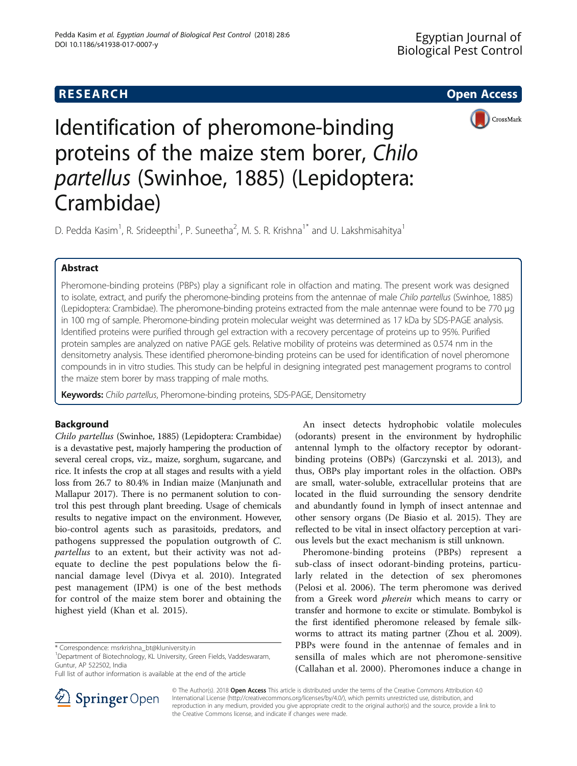# **RESEARCH CHE Open Access**



# Identification of pheromone-binding proteins of the maize stem borer, Chilo partellus (Swinhoe, 1885) (Lepidoptera: Crambidae)

D. Pedda Kasim<sup>1</sup>, R. Srideepthi<sup>1</sup>, P. Suneetha<sup>2</sup>, M. S. R. Krishna<sup>1\*</sup> and U. Lakshmisahitya<sup>1</sup>

# Abstract

Pheromone-binding proteins (PBPs) play a significant role in olfaction and mating. The present work was designed to isolate, extract, and purify the pheromone-binding proteins from the antennae of male Chilo partellus (Swinhoe, 1885) (Lepidoptera: Crambidae). The pheromone-binding proteins extracted from the male antennae were found to be 770 μg in 100 mg of sample. Pheromone-binding protein molecular weight was determined as 17 kDa by SDS-PAGE analysis. Identified proteins were purified through gel extraction with a recovery percentage of proteins up to 95%. Purified protein samples are analyzed on native PAGE gels. Relative mobility of proteins was determined as 0.574 nm in the densitometry analysis. These identified pheromone-binding proteins can be used for identification of novel pheromone compounds in in vitro studies. This study can be helpful in designing integrated pest management programs to control the maize stem borer by mass trapping of male moths.

Keywords: Chilo partellus, Pheromone-binding proteins, SDS-PAGE, Densitometry

# Background

Chilo partellus (Swinhoe, 1885) (Lepidoptera: Crambidae) is a devastative pest, majorly hampering the production of several cereal crops, viz., maize, sorghum, sugarcane, and rice. It infests the crop at all stages and results with a yield loss from 26.7 to 80.4% in Indian maize (Manjunath and Mallapur [2017](#page-3-0)). There is no permanent solution to control this pest through plant breeding. Usage of chemicals results to negative impact on the environment. However, bio-control agents such as parasitoids, predators, and pathogens suppressed the population outgrowth of C. partellus to an extent, but their activity was not adequate to decline the pest populations below the financial damage level (Divya et al. [2010\)](#page-3-0). Integrated pest management (IPM) is one of the best methods for control of the maize stem borer and obtaining the highest yield (Khan et al. [2015](#page-3-0)).



Pheromone-binding proteins (PBPs) represent a sub-class of insect odorant-binding proteins, particularly related in the detection of sex pheromones (Pelosi et al. [2006](#page-3-0)). The term pheromone was derived from a Greek word *pherein* which means to carry or transfer and hormone to excite or stimulate. Bombykol is the first identified pheromone released by female silkworms to attract its mating partner (Zhou et al. [2009](#page-3-0)). PBPs were found in the antennae of females and in sensilla of males which are not pheromone-sensitive (Callahan et al. [2000\)](#page-3-0). Pheromones induce a change in



© The Author(s). 2018 Open Access This article is distributed under the terms of the Creative Commons Attribution 4.0 International License ([http://creativecommons.org/licenses/by/4.0/\)](http://creativecommons.org/licenses/by/4.0/), which permits unrestricted use, distribution, and reproduction in any medium, provided you give appropriate credit to the original author(s) and the source, provide a link to the Creative Commons license, and indicate if changes were made.

<sup>\*</sup> Correspondence: [msrkrishna\\_bt@kluniversity.in](mailto:msrkrishna_bt@kluniversity.in) <sup>1</sup>

<sup>&</sup>lt;sup>1</sup>Department of Biotechnology, KL University, Green Fields, Vaddeswaram, Guntur, AP 522502, India

Full list of author information is available at the end of the article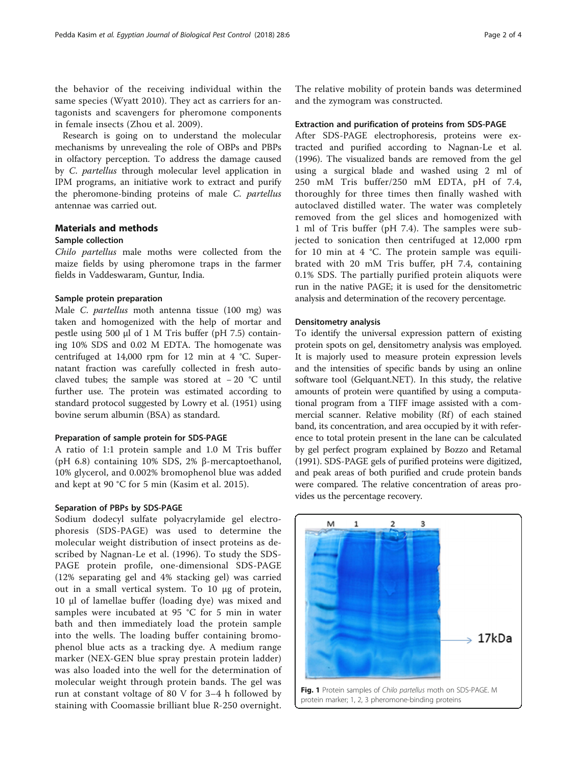<span id="page-1-0"></span>the behavior of the receiving individual within the same species (Wyatt [2010\)](#page-3-0). They act as carriers for antagonists and scavengers for pheromone components in female insects (Zhou et al. [2009\)](#page-3-0).

Research is going on to understand the molecular mechanisms by unrevealing the role of OBPs and PBPs in olfactory perception. To address the damage caused by C. partellus through molecular level application in IPM programs, an initiative work to extract and purify the pheromone-binding proteins of male C. partellus antennae was carried out.

# Materials and methods

## Sample collection

Chilo partellus male moths were collected from the maize fields by using pheromone traps in the farmer fields in Vaddeswaram, Guntur, India.

### Sample protein preparation

Male C. partellus moth antenna tissue (100 mg) was taken and homogenized with the help of mortar and pestle using 500 μl of 1 M Tris buffer (pH 7.5) containing 10% SDS and 0.02 M EDTA. The homogenate was centrifuged at 14,000 rpm for 12 min at 4 °C. Supernatant fraction was carefully collected in fresh autoclaved tubes; the sample was stored at − 20 °C until further use. The protein was estimated according to standard protocol suggested by Lowry et al. ([1951](#page-3-0)) using bovine serum albumin (BSA) as standard.

#### Preparation of sample protein for SDS-PAGE

A ratio of 1:1 protein sample and 1.0 M Tris buffer (pH 6.8) containing 10% SDS, 2% β-mercaptoethanol, 10% glycerol, and 0.002% bromophenol blue was added and kept at 90 °C for 5 min (Kasim et al. [2015\)](#page-3-0).

### Separation of PBPs by SDS-PAGE

Sodium dodecyl sulfate polyacrylamide gel electrophoresis (SDS-PAGE) was used to determine the molecular weight distribution of insect proteins as described by Nagnan-Le et al. [\(1996\)](#page-3-0). To study the SDS-PAGE protein profile, one-dimensional SDS-PAGE (12% separating gel and 4% stacking gel) was carried out in a small vertical system. To 10 μg of protein, 10 μl of lamellae buffer (loading dye) was mixed and samples were incubated at 95 °C for 5 min in water bath and then immediately load the protein sample into the wells. The loading buffer containing bromophenol blue acts as a tracking dye. A medium range marker (NEX-GEN blue spray prestain protein ladder) was also loaded into the well for the determination of molecular weight through protein bands. The gel was run at constant voltage of 80 V for 3–4 h followed by staining with Coomassie brilliant blue R-250 overnight.

The relative mobility of protein bands was determined and the zymogram was constructed.

#### Extraction and purification of proteins from SDS-PAGE

After SDS-PAGE electrophoresis, proteins were extracted and purified according to Nagnan-Le et al. ([1996\)](#page-3-0). The visualized bands are removed from the gel using a surgical blade and washed using 2 ml of 250 mM Tris buffer/250 mM EDTA, pH of 7.4, thoroughly for three times then finally washed with autoclaved distilled water. The water was completely removed from the gel slices and homogenized with 1 ml of Tris buffer (pH 7.4). The samples were subjected to sonication then centrifuged at 12,000 rpm for 10 min at 4 °C. The protein sample was equilibrated with 20 mM Tris buffer, pH 7.4, containing 0.1% SDS. The partially purified protein aliquots were run in the native PAGE; it is used for the densitometric analysis and determination of the recovery percentage.

#### Densitometry analysis

To identify the universal expression pattern of existing protein spots on gel, densitometry analysis was employed. It is majorly used to measure protein expression levels and the intensities of specific bands by using an online software tool (Gelquant.NET). In this study, the relative amounts of protein were quantified by using a computational program from a TIFF image assisted with a commercial scanner. Relative mobility (Rf) of each stained band, its concentration, and area occupied by it with reference to total protein present in the lane can be calculated by gel perfect program explained by Bozzo and Retamal ([1991](#page-3-0)). SDS-PAGE gels of purified proteins were digitized, and peak areas of both purified and crude protein bands were compared. The relative concentration of areas provides us the percentage recovery.

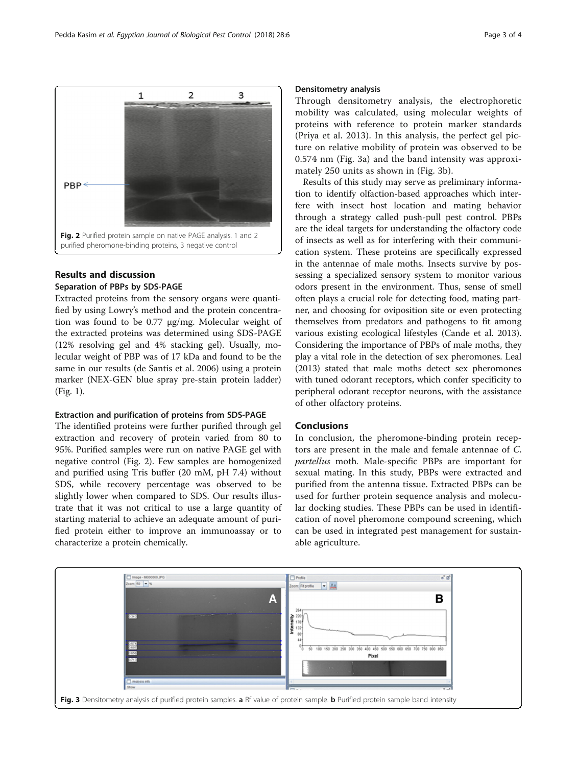Results and discussion Separation of PBPs by SDS-PAGE Extracted proteins from the sensory organs were quantified by using Lowry's method and the protein concentration was found to be 0.77 μg/mg. Molecular weight of the extracted proteins was determined using SDS-PAGE (12% resolving gel and 4% stacking gel). Usually, molecular weight of PBP was of 17 kDa and found to be the same in our results (de Santis et al. [2006\)](#page-3-0) using a protein marker (NEX-GEN blue spray pre-stain protein ladder)

# Extraction and purification of proteins from SDS-PAGE

(Fig. [1](#page-1-0)).

The identified proteins were further purified through gel extraction and recovery of protein varied from 80 to 95%. Purified samples were run on native PAGE gel with negative control (Fig. 2). Few samples are homogenized and purified using Tris buffer (20 mM, pH 7.4) without SDS, while recovery percentage was observed to be slightly lower when compared to SDS. Our results illustrate that it was not critical to use a large quantity of starting material to achieve an adequate amount of purified protein either to improve an immunoassay or to characterize a protein chemically.

# Densitometry analysis

Through densitometry analysis, the electrophoretic mobility was calculated, using molecular weights of proteins with reference to protein marker standards (Priya et al. [2013\)](#page-3-0). In this analysis, the perfect gel picture on relative mobility of protein was observed to be 0.574 nm (Fig. 3a) and the band intensity was approximately 250 units as shown in (Fig. 3b).

Results of this study may serve as preliminary information to identify olfaction-based approaches which interfere with insect host location and mating behavior through a strategy called push-pull pest control. PBPs are the ideal targets for understanding the olfactory code of insects as well as for interfering with their communication system. These proteins are specifically expressed in the antennae of male moths. Insects survive by possessing a specialized sensory system to monitor various odors present in the environment. Thus, sense of smell often plays a crucial role for detecting food, mating partner, and choosing for oviposition site or even protecting themselves from predators and pathogens to fit among various existing ecological lifestyles (Cande et al. [2013](#page-3-0)). Considering the importance of PBPs of male moths, they play a vital role in the detection of sex pheromones. Leal ([2013\)](#page-3-0) stated that male moths detect sex pheromones with tuned odorant receptors, which confer specificity to peripheral odorant receptor neurons, with the assistance of other olfactory proteins.

# Conclusions

In conclusion, the pheromone-binding protein receptors are present in the male and female antennae of C. partellus moth. Male-specific PBPs are important for sexual mating. In this study, PBPs were extracted and purified from the antenna tissue. Extracted PBPs can be used for further protein sequence analysis and molecular docking studies. These PBPs can be used in identification of novel pheromone compound screening, which can be used in integrated pest management for sustainable agriculture.